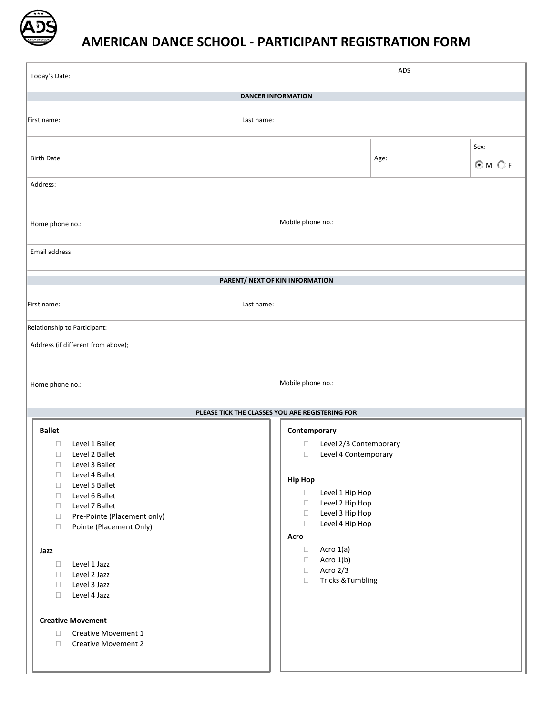

## **AMERICAN DANCE SCHOOL - PARTICIPANT REGISTRATION FORM**

| Today's Date:                                                                                                                                                                                                                                                                                                                                                                                                                                                                                                                                                                                                                                                                                                                                                     | ADS               |      |                   |  |
|-------------------------------------------------------------------------------------------------------------------------------------------------------------------------------------------------------------------------------------------------------------------------------------------------------------------------------------------------------------------------------------------------------------------------------------------------------------------------------------------------------------------------------------------------------------------------------------------------------------------------------------------------------------------------------------------------------------------------------------------------------------------|-------------------|------|-------------------|--|
| <b>DANCER INFORMATION</b>                                                                                                                                                                                                                                                                                                                                                                                                                                                                                                                                                                                                                                                                                                                                         |                   |      |                   |  |
| First name:<br>Last name:                                                                                                                                                                                                                                                                                                                                                                                                                                                                                                                                                                                                                                                                                                                                         |                   |      |                   |  |
| <b>Birth Date</b>                                                                                                                                                                                                                                                                                                                                                                                                                                                                                                                                                                                                                                                                                                                                                 |                   | Age: | Sex:<br>$@M$ $@F$ |  |
| Address:                                                                                                                                                                                                                                                                                                                                                                                                                                                                                                                                                                                                                                                                                                                                                          |                   |      |                   |  |
| Home phone no.:                                                                                                                                                                                                                                                                                                                                                                                                                                                                                                                                                                                                                                                                                                                                                   | Mobile phone no.: |      |                   |  |
| Email address:                                                                                                                                                                                                                                                                                                                                                                                                                                                                                                                                                                                                                                                                                                                                                    |                   |      |                   |  |
| PARENT/ NEXT OF KIN INFORMATION                                                                                                                                                                                                                                                                                                                                                                                                                                                                                                                                                                                                                                                                                                                                   |                   |      |                   |  |
| First name:<br>Last name:                                                                                                                                                                                                                                                                                                                                                                                                                                                                                                                                                                                                                                                                                                                                         |                   |      |                   |  |
| Relationship to Participant:                                                                                                                                                                                                                                                                                                                                                                                                                                                                                                                                                                                                                                                                                                                                      |                   |      |                   |  |
| Address (if different from above);                                                                                                                                                                                                                                                                                                                                                                                                                                                                                                                                                                                                                                                                                                                                |                   |      |                   |  |
| Mobile phone no.:<br>Home phone no.:                                                                                                                                                                                                                                                                                                                                                                                                                                                                                                                                                                                                                                                                                                                              |                   |      |                   |  |
| PLEASE TICK THE CLASSES YOU ARE REGISTERING FOR                                                                                                                                                                                                                                                                                                                                                                                                                                                                                                                                                                                                                                                                                                                   |                   |      |                   |  |
| <b>Ballet</b><br>Contemporary<br>Level 2/3 Contemporary<br>Level 1 Ballet<br>$\Box$<br>$\Box$<br>$\Box$<br>Level 2 Ballet<br>$\Box$<br>Level 4 Contemporary<br>$\Box$<br>Level 3 Ballet<br>Level 4 Ballet<br>$\Box$<br><b>Hip Hop</b><br>Level 5 Ballet<br>$\Box$<br>Level 1 Hip Hop<br>$\Box$<br>Level 6 Ballet<br>$\Box$<br>Level 2 Hip Hop<br>$\Box$<br>Level 7 Ballet<br>$\Box$<br>Level 3 Hip Hop<br>$\Box$<br>Pre-Pointe (Placement only)<br>$\Box$<br>Level 4 Hip Hop<br>$\Box$<br>Pointe (Placement Only)<br>$\Box$<br>Acro<br>Acro 1(a)<br>$\Box$<br>Jazz<br>Acro 1(b)<br>$\Box$<br>Level 1 Jazz<br>$\Box$<br>Acro 2/3<br>$\Box$<br>Level 2 Jazz<br>$\Box$<br><b>Tricks &amp; Tumbling</b><br>$\Box$<br>Level 3 Jazz<br>$\Box$<br>Level 4 Jazz<br>$\Box$ |                   |      |                   |  |
| <b>Creative Movement</b><br>$\Box$<br>Creative Movement 1<br>$\Box$<br><b>Creative Movement 2</b>                                                                                                                                                                                                                                                                                                                                                                                                                                                                                                                                                                                                                                                                 |                   |      |                   |  |